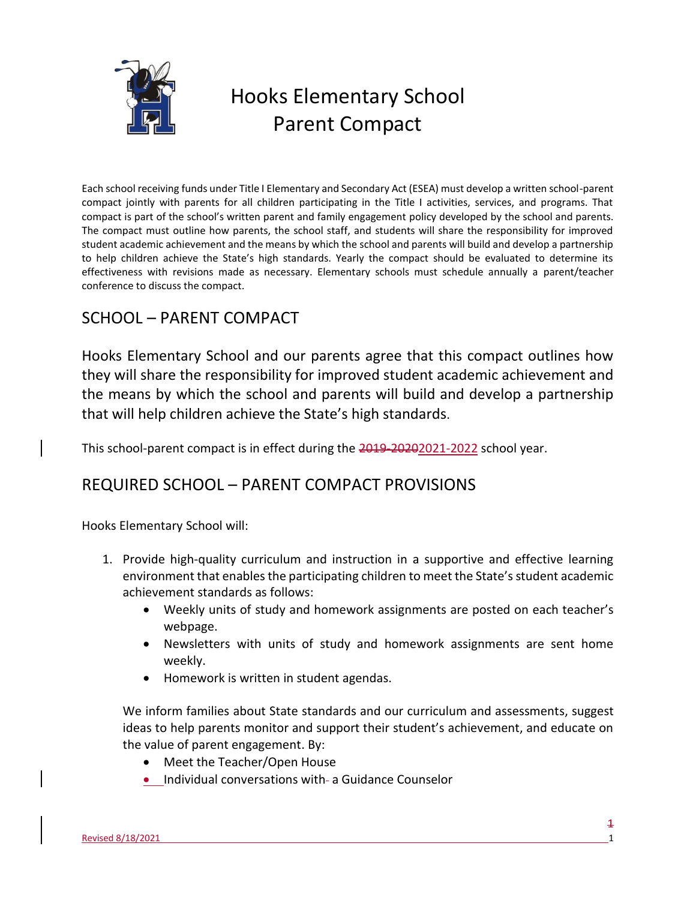

# Hooks Elementary School Parent Compact

Each school receiving funds under Title I Elementary and Secondary Act (ESEA) must develop a written school-parent compact jointly with parents for all children participating in the Title I activities, services, and programs. That compact is part of the school's written parent and family engagement policy developed by the school and parents. The compact must outline how parents, the school staff, and students will share the responsibility for improved student academic achievement and the means by which the school and parents will build and develop a partnership to help children achieve the State's high standards. Yearly the compact should be evaluated to determine its effectiveness with revisions made as necessary. Elementary schools must schedule annually a parent/teacher conference to discuss the compact.

## SCHOOL – PARENT COMPACT

Hooks Elementary School and our parents agree that this compact outlines how they will share the responsibility for improved student academic achievement and the means by which the school and parents will build and develop a partnership that will help children achieve the State's high standards.

This school-parent compact is in effect during the 2019-20202021-2022 school year.

### REQUIRED SCHOOL – PARENT COMPACT PROVISIONS

Hooks Elementary School will:

- 1. Provide high-quality curriculum and instruction in a supportive and effective learning environment that enables the participating children to meet the State's student academic achievement standards as follows:
	- Weekly units of study and homework assignments are posted on each teacher's webpage.
	- Newsletters with units of study and homework assignments are sent home weekly.
	- Homework is written in student agendas.

We inform families about State standards and our curriculum and assessments, suggest ideas to help parents monitor and support their student's achievement, and educate on the value of parent engagement. By:

- Meet the Teacher/Open House
- Individual conversations with- a Guidance Counselor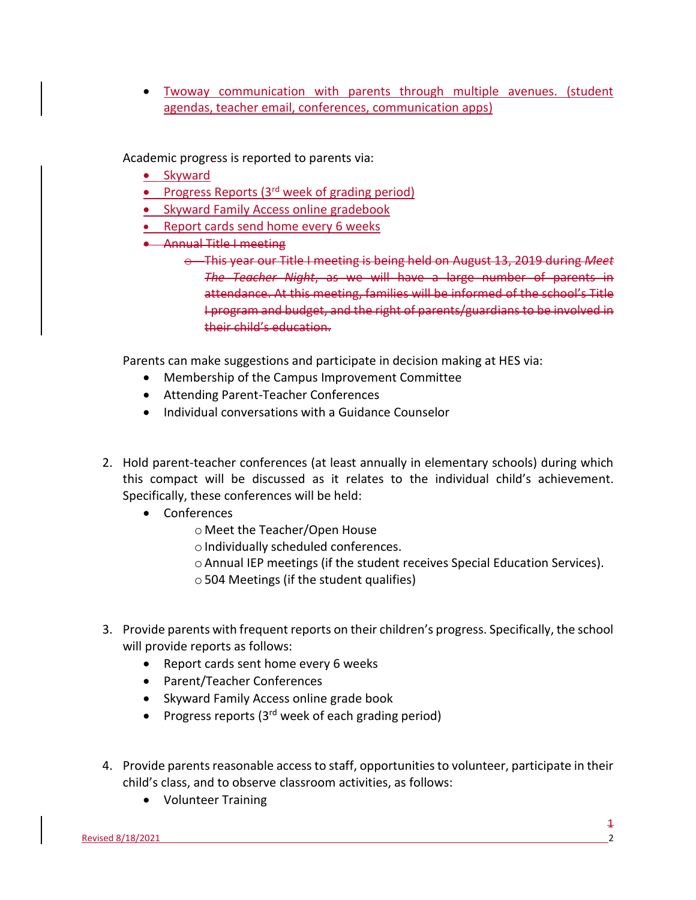Twoway communication with parents through multiple avenues. (student agendas, teacher email, conferences, communication apps)

Academic progress is reported to parents via:

- Skyward
- **•** Progress Reports (3<sup>rd</sup> week of grading period)
- Skyward Family Access online gradebook
- Report cards send home every 6 weeks
- **Annual Title I meeting** 
	- o This year our Title I meeting is being held on August 13, 2019 during *Meet The Teacher Night*, as we will have a large number of parents in attendance. At this meeting, families will be informed of the school's Title I program and budget, and the right of parents/guardians to be involved in their child's education.

Parents can make suggestions and participate in decision making at HES via:

- Membership of the Campus Improvement Committee
- Attending Parent-Teacher Conferences
- Individual conversations with a Guidance Counselor
- 2. Hold parent-teacher conferences (at least annually in elementary schools) during which this compact will be discussed as it relates to the individual child's achievement. Specifically, these conferences will be held:
	- Conferences
		- o Meet the Teacher/Open House
		- $\circ$  Individually scheduled conferences.
		- oAnnual IEP meetings (if the student receives Special Education Services).
		- $\circ$  504 Meetings (if the student qualifies)
- 3. Provide parents with frequent reports on their children's progress. Specifically, the school will provide reports as follows:
	- Report cards sent home every 6 weeks
	- Parent/Teacher Conferences
	- Skyward Family Access online grade book
	- Progress reports  $(3<sup>rd</sup>$  week of each grading period)
- 4. Provide parents reasonable access to staff, opportunities to volunteer, participate in their child's class, and to observe classroom activities, as follows:
	- Volunteer Training